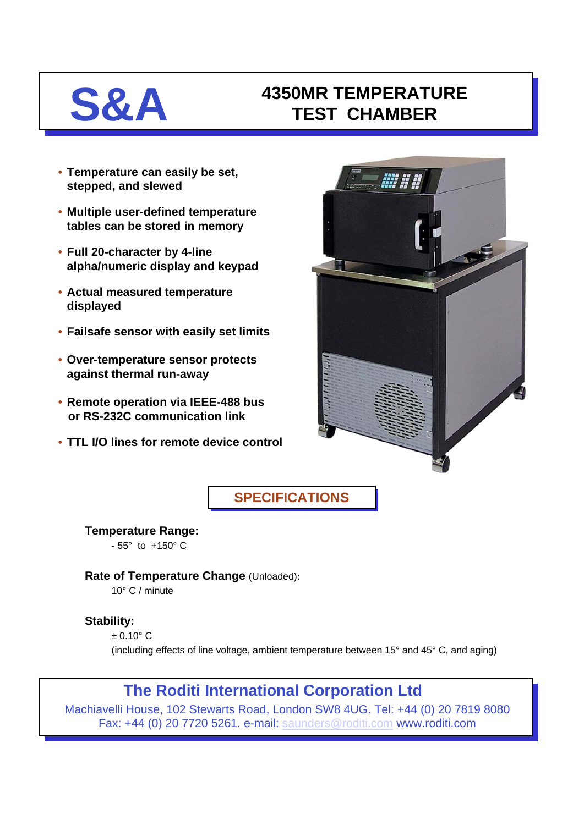# **S&A 4350MR TEMPERATURE TEST CHAMBER**

- **Temperature can easily be set, stepped, and slewed**
- **Multiple user-defined temperature tables can be stored in memory**
- **Full 20-character by 4-line alpha/numeric display and keypad**
- **Actual measured temperature displayed**
- **Failsafe sensor with easily set limits**
- **Over-temperature sensor protects against thermal run-away**
- **Remote operation via IEEE-488 bus or RS-232C communication link**
- **TTL I/O lines for remote device control**



**SPECIFICATIONS**

**Temperature Range:**   $-55^{\circ}$  to  $+150^{\circ}$  C

**Rate of Temperature Change** (Unloaded)**:**

10° C / minute

## **Stability:**

 $+0.10^{\circ}$  C (including effects of line voltage, ambient temperature between 15° and 45° C, and aging)

# **The Roditi International Corporation Ltd**

Machiavelli House, 102 Stewarts Road, London SW8 4UG. Tel: +44 (0) 20 7819 8080 Fax: +44 (0) 20 7720 5261. e-mail: [saunders@roditi.com](mailto:saunders@roditi.com) www.roditi.com